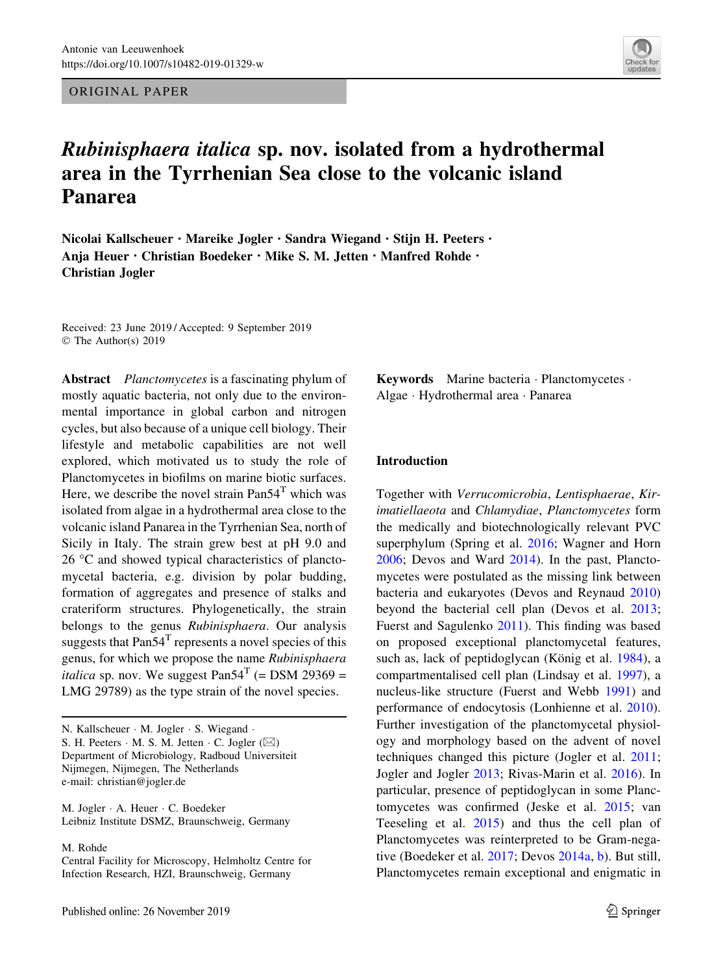ORIGINAL PAPER



# Rubinisphaera italica sp. nov. isolated from a hydrothermal area in the Tyrrhenian Sea close to the volcanic island Panarea

Nicolai Kallscheuer · Mareike Jogler · Sandra Wiegand · Stijn H. Peeters · Anja Heuer · Christian Boedeker · Mike S. M. Jetten · Manfred Rohde · Christian Jogler

Received: 23 June 2019 / Accepted: 9 September 2019 © The Author(s) 2019

Abstract Planctomycetes is a fascinating phylum of mostly aquatic bacteria, not only due to the environmental importance in global carbon and nitrogen cycles, but also because of a unique cell biology. Their lifestyle and metabolic capabilities are not well explored, which motivated us to study the role of Planctomycetes in biofilms on marine biotic surfaces. Here, we describe the novel strain  $Pan54<sup>T</sup>$  which was isolated from algae in a hydrothermal area close to the volcanic island Panarea in the Tyrrhenian Sea, north of Sicily in Italy. The strain grew best at pH 9.0 and  $26 \degree C$  and showed typical characteristics of planctomycetal bacteria, e.g. division by polar budding, formation of aggregates and presence of stalks and crateriform structures. Phylogenetically, the strain belongs to the genus Rubinisphaera. Our analysis suggests that  $Pan54<sup>T</sup>$  represents a novel species of this genus, for which we propose the name Rubinisphaera *italica* sp. nov. We suggest  $Pan54^T$  (= DSM 29369 = LMG 29789) as the type strain of the novel species.

N. Kallscheuer - M. Jogler - S. Wiegand - S. H. Peeters  $\cdot$  M. S. M. Jetten  $\cdot$  C. Jogler ( $\boxtimes$ ) Department of Microbiology, Radboud Universiteit Nijmegen, Nijmegen, The Netherlands e-mail: christian@jogler.de

M. Jogler - A. Heuer - C. Boedeker Leibniz Institute DSMZ, Braunschweig, Germany

M. Rohde

Central Facility for Microscopy, Helmholtz Centre for Infection Research, HZI, Braunschweig, Germany

Keywords Marine bacteria · Planctomycetes · Algae - Hydrothermal area - Panarea

### Introduction

Together with Verrucomicrobia, Lentisphaerae, Kirimatiellaeota and Chlamydiae, Planctomycetes form the medically and biotechnologically relevant PVC superphylum (Spring et al. [2016](#page-9-0); Wagner and Horn [2006;](#page-9-0) Devos and Ward [2014\)](#page-8-0). In the past, Planctomycetes were postulated as the missing link between bacteria and eukaryotes (Devos and Reynaud [2010\)](#page-7-0) beyond the bacterial cell plan (Devos et al. [2013](#page-7-0); Fuerst and Sagulenko [2011\)](#page-8-0). This finding was based on proposed exceptional planctomycetal features, such as, lack of peptidoglycan (König et al. [1984\)](#page-8-0), a compartmentalised cell plan (Lindsay et al. [1997\)](#page-8-0), a nucleus-like structure (Fuerst and Webb [1991](#page-8-0)) and performance of endocytosis (Lonhienne et al. [2010](#page-8-0)). Further investigation of the planctomycetal physiology and morphology based on the advent of novel techniques changed this picture (Jogler et al. [2011](#page-8-0); Jogler and Jogler [2013;](#page-8-0) Rivas-Marin et al. [2016\)](#page-8-0). In particular, presence of peptidoglycan in some Planctomycetes was confirmed (Jeske et al. [2015](#page-8-0); van Teeseling et al. [2015](#page-9-0)) and thus the cell plan of Planctomycetes was reinterpreted to be Gram-negative (Boedeker et al. [2017](#page-7-0); Devos [2014a](#page-7-0), [b](#page-7-0)). But still, Planctomycetes remain exceptional and enigmatic in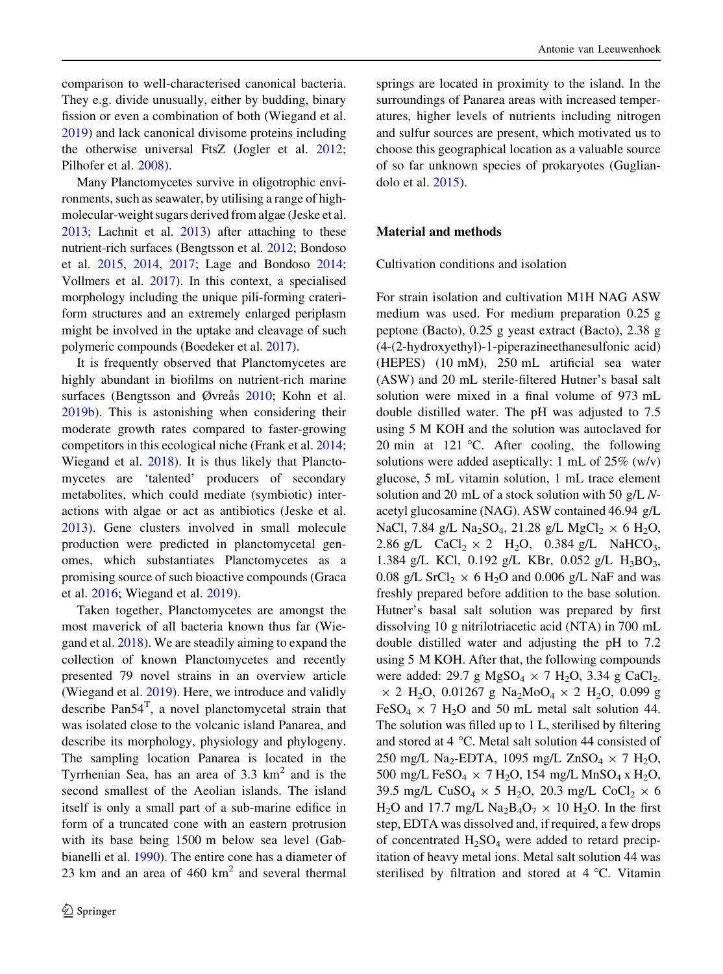comparison to well-characterised canonical bacteria. They e.g. divide unusually, either by budding, binary fission or even a combination of both (Wiegand et al. [2019\)](#page-9-0) and lack canonical divisome proteins including the otherwise universal FtsZ (Jogler et al. [2012](#page-8-0); Pilhofer et al. [2008](#page-8-0)).

Many Planctomycetes survive in oligotrophic environments, such as seawater, by utilising a range of highmolecular-weight sugars derived from algae (Jeske et al. [2013](#page-8-0); Lachnit et al. [2013](#page-8-0)) after attaching to these nutrient-rich surfaces (Bengtsson et al. [2012;](#page-7-0) Bondoso et al. [2015](#page-7-0), [2014](#page-7-0), [2017;](#page-7-0) Lage and Bondoso [2014](#page-8-0); Vollmers et al. [2017\)](#page-9-0). In this context, a specialised morphology including the unique pili-forming crateriform structures and an extremely enlarged periplasm might be involved in the uptake and cleavage of such polymeric compounds (Boedeker et al. [2017](#page-7-0)).

It is frequently observed that Planctomycetes are highly abundant in biofilms on nutrient-rich marine surfaces (Bengtsson and Øvreås [2010](#page-7-0); Kohn et al. [2019b\)](#page-8-0). This is astonishing when considering their moderate growth rates compared to faster-growing competitors in this ecological niche (Frank et al. [2014](#page-8-0); Wiegand et al. [2018\)](#page-9-0). It is thus likely that Planctomycetes are 'talented' producers of secondary metabolites, which could mediate (symbiotic) interactions with algae or act as antibiotics (Jeske et al. [2013\)](#page-8-0). Gene clusters involved in small molecule production were predicted in planctomycetal genomes, which substantiates Planctomycetes as a promising source of such bioactive compounds (Graca et al. [2016](#page-8-0); Wiegand et al. [2019\)](#page-9-0).

Taken together, Planctomycetes are amongst the most maverick of all bacteria known thus far (Wiegand et al. [2018\)](#page-9-0). We are steadily aiming to expand the collection of known Planctomycetes and recently presented 79 novel strains in an overview article (Wiegand et al. [2019\)](#page-9-0). Here, we introduce and validly describe  $Pan54^T$ , a novel planctomycetal strain that was isolated close to the volcanic island Panarea, and describe its morphology, physiology and phylogeny. The sampling location Panarea is located in the Tyrrhenian Sea, has an area of  $3.3 \text{ km}^2$  and is the second smallest of the Aeolian islands. The island itself is only a small part of a sub-marine edifice in form of a truncated cone with an eastern protrusion with its base being 1500 m below sea level (Gabbianelli et al. [1990](#page-8-0)). The entire cone has a diameter of 23 km and an area of  $460 \text{ km}^2$  and several thermal

springs are located in proximity to the island. In the surroundings of Panarea areas with increased temperatures, higher levels of nutrients including nitrogen and sulfur sources are present, which motivated us to choose this geographical location as a valuable source of so far unknown species of prokaryotes (Gugliandolo et al. [2015](#page-8-0)).

## Material and methods

Cultivation conditions and isolation

For strain isolation and cultivation M1H NAG ASW medium was used. For medium preparation 0.25 g peptone (Bacto), 0.25 g yeast extract (Bacto), 2.38 g (4-(2-hydroxyethyl)-1-piperazineethanesulfonic acid) (HEPES) (10 mM), 250 mL artificial sea water (ASW) and 20 mL sterile-filtered Hutner's basal salt solution were mixed in a final volume of 973 mL double distilled water. The pH was adjusted to 7.5 using 5 M KOH and the solution was autoclaved for 20 min at 121 °C. After cooling, the following solutions were added aseptically: 1 mL of 25% (w/v) glucose, 5 mL vitamin solution, 1 mL trace element solution and 20 mL of a stock solution with 50  $g/L$  Nacetyl glucosamine (NAG). ASW contained 46.94 g/L NaCl, 7.84 g/L Na<sub>2</sub>SO<sub>4</sub>, 21.28 g/L MgCl<sub>2</sub>  $\times$  6 H<sub>2</sub>O, 2.86 g/L CaCl<sub>2</sub>  $\times$  2 H<sub>2</sub>O, 0.384 g/L NaHCO<sub>3</sub>, 1.384 g/L KCl, 0.192 g/L KBr, 0.052 g/L  $H_3BO_3$ , 0.08 g/L SrCl<sub>2</sub>  $\times$  6 H<sub>2</sub>O and 0.006 g/L NaF and was freshly prepared before addition to the base solution. Hutner's basal salt solution was prepared by first dissolving 10 g nitrilotriacetic acid (NTA) in 700 mL double distilled water and adjusting the pH to 7.2 using 5 M KOH. After that, the following compounds were added: 29.7 g MgSO<sub>4</sub>  $\times$  7 H<sub>2</sub>O, 3.34 g CaCl<sub>2-</sub>  $\times$  2 H<sub>2</sub>O, 0.01267 g Na<sub>2</sub>MoO<sub>4</sub>  $\times$  2 H<sub>2</sub>O, 0.099 g FeSO<sub>4</sub>  $\times$  7 H<sub>2</sub>O and 50 mL metal salt solution 44. The solution was filled up to 1 L, sterilised by filtering and stored at  $4^{\circ}$ C. Metal salt solution 44 consisted of 250 mg/L Na<sub>2</sub>-EDTA, 1095 mg/L ZnSO<sub>4</sub>  $\times$  7 H<sub>2</sub>O, 500 mg/L FeSO<sub>4</sub>  $\times$  7 H<sub>2</sub>O, 154 mg/L MnSO<sub>4</sub> x H<sub>2</sub>O, 39.5 mg/L CuSO<sub>4</sub>  $\times$  5 H<sub>2</sub>O, 20.3 mg/L CoCl<sub>2</sub>  $\times$  6  $H_2O$  and 17.7 mg/L  $Na_2Ba_2O_7 \times 10 H_2O$ . In the first step, EDTA was dissolved and, if required, a few drops of concentrated  $H_2SO_4$  were added to retard precipitation of heavy metal ions. Metal salt solution 44 was sterilised by filtration and stored at  $4^{\circ}$ C. Vitamin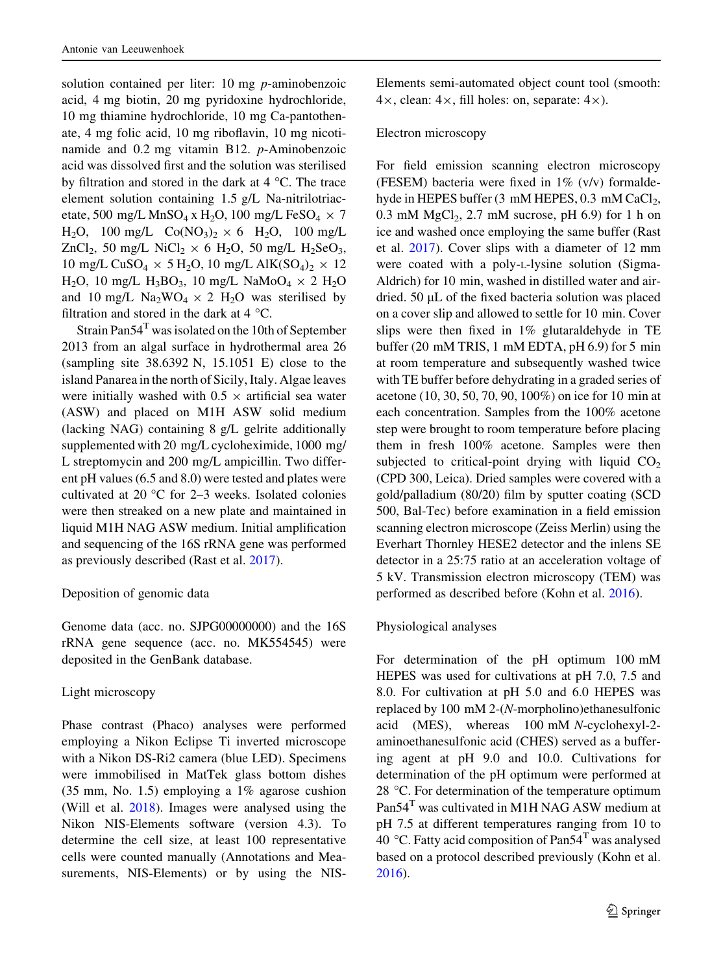solution contained per liter: 10 mg *p*-aminobenzoic acid, 4 mg biotin, 20 mg pyridoxine hydrochloride, 10 mg thiamine hydrochloride, 10 mg Ca-pantothenate, 4 mg folic acid, 10 mg riboflavin, 10 mg nicotinamide and 0.2 mg vitamin B12. p-Aminobenzoic acid was dissolved first and the solution was sterilised by filtration and stored in the dark at  $4^{\circ}$ C. The trace element solution containing 1.5 g/L Na-nitrilotriacetate, 500 mg/L MnSO<sub>4</sub> x H<sub>2</sub>O, 100 mg/L FeSO<sub>4</sub>  $\times$  7  $H_2O$ , 100 mg/L  $Co(NO_3)_2 \times 6$   $H_2O$ , 100 mg/L ZnCl<sub>2</sub>, 50 mg/L NiCl<sub>2</sub>  $\times$  6 H<sub>2</sub>O, 50 mg/L H<sub>2</sub>SeO<sub>3</sub>, 10 mg/L CuSO<sub>4</sub>  $\times$  5 H<sub>2</sub>O, 10 mg/L AlK(SO<sub>4</sub>)<sub>2</sub>  $\times$  12 H<sub>2</sub>O, 10 mg/L H<sub>3</sub>BO<sub>3</sub>, 10 mg/L NaMoO<sub>4</sub>  $\times$  2 H<sub>2</sub>O and 10 mg/L  $\text{Na}_2\text{WO}_4 \times 2$  H<sub>2</sub>O was sterilised by filtration and stored in the dark at  $4^{\circ}$ C.

Strain Pan $54^T$  was isolated on the 10th of September 2013 from an algal surface in hydrothermal area 26 (sampling site 38.6392 N, 15.1051 E) close to the island Panarea in the north of Sicily, Italy. Algae leaves were initially washed with  $0.5 \times$  artificial sea water (ASW) and placed on M1H ASW solid medium (lacking NAG) containing 8 g/L gelrite additionally supplemented with 20 mg/L cycloheximide, 1000 mg/ L streptomycin and 200 mg/L ampicillin. Two different pH values (6.5 and 8.0) were tested and plates were cultivated at 20  $^{\circ}$ C for 2–3 weeks. Isolated colonies were then streaked on a new plate and maintained in liquid M1H NAG ASW medium. Initial amplification and sequencing of the 16S rRNA gene was performed as previously described (Rast et al. [2017\)](#page-8-0).

## Deposition of genomic data

Genome data (acc. no. SJPG00000000) and the 16S rRNA gene sequence (acc. no. MK554545) were deposited in the GenBank database.

## Light microscopy

Phase contrast (Phaco) analyses were performed employing a Nikon Eclipse Ti inverted microscope with a Nikon DS-Ri2 camera (blue LED). Specimens were immobilised in MatTek glass bottom dishes (35 mm, No. 1.5) employing a 1% agarose cushion (Will et al. [2018\)](#page-9-0). Images were analysed using the Nikon NIS-Elements software (version 4.3). To determine the cell size, at least 100 representative cells were counted manually (Annotations and Measurements, NIS-Elements) or by using the NIS- Elements semi-automated object count tool (smooth:  $4\times$ , clean:  $4\times$ , fill holes: on, separate:  $4\times$ ).

## Electron microscopy

For field emission scanning electron microscopy (FESEM) bacteria were fixed in 1% (v/v) formaldehyde in HEPES buffer (3 mM HEPES, 0.3 mM CaCl<sub>2</sub>, 0.3 mM  $MgCl<sub>2</sub>$ , 2.7 mM sucrose, pH 6.9) for 1 h on ice and washed once employing the same buffer (Rast et al. [2017\)](#page-8-0). Cover slips with a diameter of 12 mm were coated with a poly-L-lysine solution (Sigma-Aldrich) for 10 min, washed in distilled water and airdried.  $50 \mu L$  of the fixed bacteria solution was placed on a cover slip and allowed to settle for 10 min. Cover slips were then fixed in 1% glutaraldehyde in TE buffer (20 mM TRIS, 1 mM EDTA, pH 6.9) for 5 min at room temperature and subsequently washed twice with TE buffer before dehydrating in a graded series of acetone (10, 30, 50, 70, 90, 100%) on ice for 10 min at each concentration. Samples from the 100% acetone step were brought to room temperature before placing them in fresh 100% acetone. Samples were then subjected to critical-point drying with liquid  $CO<sub>2</sub>$ (CPD 300, Leica). Dried samples were covered with a gold/palladium (80/20) film by sputter coating (SCD 500, Bal-Tec) before examination in a field emission scanning electron microscope (Zeiss Merlin) using the Everhart Thornley HESE2 detector and the inlens SE detector in a 25:75 ratio at an acceleration voltage of 5 kV. Transmission electron microscopy (TEM) was performed as described before (Kohn et al. [2016\)](#page-8-0).

## Physiological analyses

For determination of the pH optimum 100 mM HEPES was used for cultivations at pH 7.0, 7.5 and 8.0. For cultivation at pH 5.0 and 6.0 HEPES was replaced by 100 mM 2-(N-morpholino)ethanesulfonic acid (MES), whereas 100 mM N-cyclohexyl-2 aminoethanesulfonic acid (CHES) served as a buffering agent at pH 9.0 and 10.0. Cultivations for determination of the pH optimum were performed at 28  $\degree$ C. For determination of the temperature optimum Pan54<sup>T</sup> was cultivated in M1H NAG ASW medium at pH 7.5 at different temperatures ranging from 10 to 40 °C. Fatty acid composition of Pan54<sup>T</sup> was analysed based on a protocol described previously (Kohn et al. [2016\)](#page-8-0).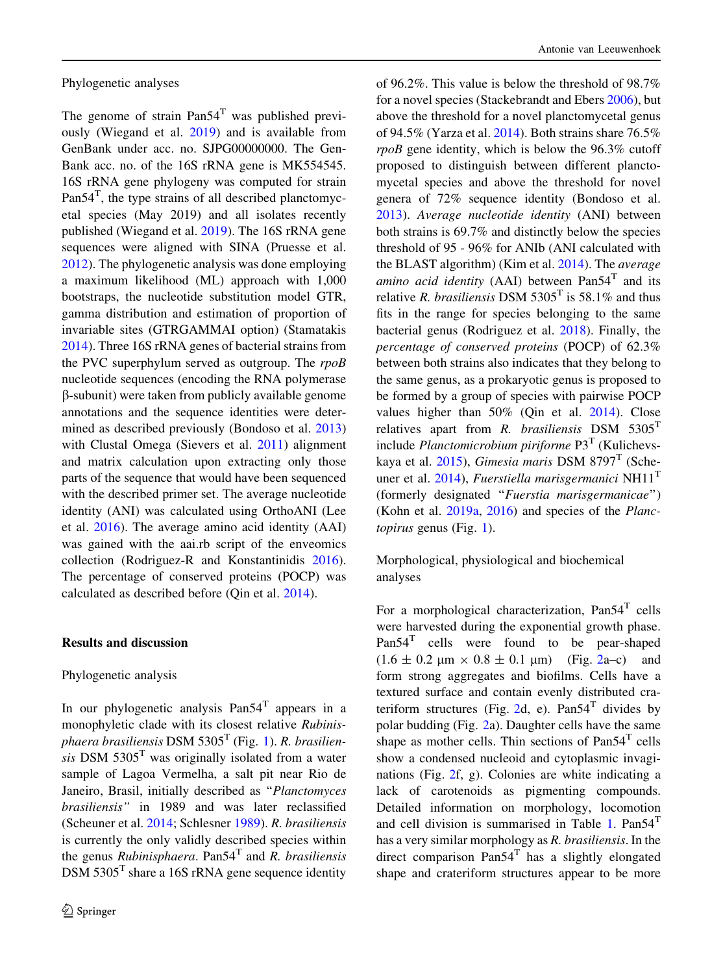Phylogenetic analyses

The genome of strain  $Pan54<sup>T</sup>$  was published previously (Wiegand et al. [2019\)](#page-9-0) and is available from GenBank under acc. no. SJPG00000000. The Gen-Bank acc. no. of the 16S rRNA gene is MK554545. 16S rRNA gene phylogeny was computed for strain Pan $54^T$ , the type strains of all described planctomycetal species (May 2019) and all isolates recently published (Wiegand et al. [2019](#page-9-0)). The 16S rRNA gene sequences were aligned with SINA (Pruesse et al. [2012\)](#page-8-0). The phylogenetic analysis was done employing a maximum likelihood (ML) approach with 1,000 bootstraps, the nucleotide substitution model GTR, gamma distribution and estimation of proportion of invariable sites (GTRGAMMAI option) (Stamatakis [2014\)](#page-9-0). Three 16S rRNA genes of bacterial strains from the PVC superphylum served as outgroup. The rpoB nucleotide sequences (encoding the RNA polymerase b-subunit) were taken from publicly available genome annotations and the sequence identities were determined as described previously (Bondoso et al. [2013\)](#page-7-0) with Clustal Omega (Sievers et al. [2011\)](#page-9-0) alignment and matrix calculation upon extracting only those parts of the sequence that would have been sequenced with the described primer set. The average nucleotide identity (ANI) was calculated using OrthoANI (Lee et al. [2016](#page-8-0)). The average amino acid identity (AAI) was gained with the aai.rb script of the enveomics collection (Rodriguez-R and Konstantinidis [2016](#page-8-0)). The percentage of conserved proteins (POCP) was calculated as described before (Qin et al. [2014\)](#page-8-0).

### Results and discussion

### Phylogenetic analysis

In our phylogenetic analysis  $Pan54<sup>T</sup>$  appears in a monophyletic clade with its closest relative Rubinis-phaera brasiliensis DSM 5305<sup>T</sup> (Fig. [1](#page-4-0)). R. brasiliensis DSM  $5305<sup>T</sup>$  was originally isolated from a water sample of Lagoa Vermelha, a salt pit near Rio de Janeiro, Brasil, initially described as ''Planctomyces brasiliensis'' in 1989 and was later reclassified (Scheuner et al. [2014](#page-9-0); Schlesner [1989](#page-9-0)). R. brasiliensis is currently the only validly described species within the genus *Rubinisphaera*. Pan54<sup>T</sup> and *R. brasiliensis*  $DSM 5305<sup>T</sup>$  share a 16S rRNA gene sequence identity

of 96.2%. This value is below the threshold of 98.7% for a novel species (Stackebrandt and Ebers [2006\)](#page-9-0), but above the threshold for a novel planctomycetal genus of 94.5% (Yarza et al. [2014\)](#page-9-0). Both strains share 76.5% rpoB gene identity, which is below the 96.3% cutoff proposed to distinguish between different planctomycetal species and above the threshold for novel genera of 72% sequence identity (Bondoso et al. [2013\)](#page-7-0). Average nucleotide identity (ANI) between both strains is 69.7% and distinctly below the species threshold of 95 - 96% for ANIb (ANI calculated with the BLAST algorithm) (Kim et al. [2014](#page-8-0)). The average *amino acid identity* (AAI) between  $Pan54<sup>T</sup>$  and its relative *R. brasiliensis* DSM 5305<sup>T</sup> is 58.1% and thus fits in the range for species belonging to the same bacterial genus (Rodriguez et al. [2018\)](#page-8-0). Finally, the percentage of conserved proteins (POCP) of 62.3% between both strains also indicates that they belong to the same genus, as a prokaryotic genus is proposed to be formed by a group of species with pairwise POCP values higher than 50% (Qin et al. [2014](#page-8-0)). Close relatives apart from  $R$ . *brasiliensis* DSM 5305<sup>T</sup> include *Planctomicrobium piriforme*  $P3<sup>T</sup>$  (Kulichevskaya et al.  $2015$ ), Gimesia maris DSM 8797<sup>T</sup> (Sche-uner et al. [2014](#page-9-0)), Fuerstiella marisgermanici NH11<sup>T</sup> (formerly designated "Fuerstia marisgermanicae") (Kohn et al. [2019a](#page-8-0), [2016\)](#page-8-0) and species of the Planctopirus genus (Fig. [1](#page-4-0)).

Morphological, physiological and biochemical analyses

For a morphological characterization,  $Pan54<sup>T</sup>$  cells were harvested during the exponential growth phase. Pan54<sup>T</sup> cells were found to be pear-shaped  $(1.6 \pm 0.2 \text{ µm} \times 0.8 \pm 0.1 \text{ µm})$  $(1.6 \pm 0.2 \text{ µm} \times 0.8 \pm 0.1 \text{ µm})$  $(1.6 \pm 0.2 \text{ µm} \times 0.8 \pm 0.1 \text{ µm})$  (Fig. 2a–c) and form strong aggregates and biofilms. Cells have a textured surface and contain evenly distributed cra-teriform structures (Fig. [2](#page-5-0)d, e).  $Pan54<sup>T</sup>$  divides by polar budding (Fig. [2](#page-5-0)a). Daughter cells have the same shape as mother cells. Thin sections of  $Pan54<sup>T</sup>$  cells show a condensed nucleoid and cytoplasmic invaginations (Fig. [2](#page-5-0)f, g). Colonies are white indicating a lack of carotenoids as pigmenting compounds. Detailed information on morphology, locomotion and cell division is summarised in Table [1](#page-6-0).  $Pan54<sup>T</sup>$ has a very similar morphology as R. brasiliensis. In the direct comparison  $Pan54<sup>T</sup>$  has a slightly elongated shape and crateriform structures appear to be more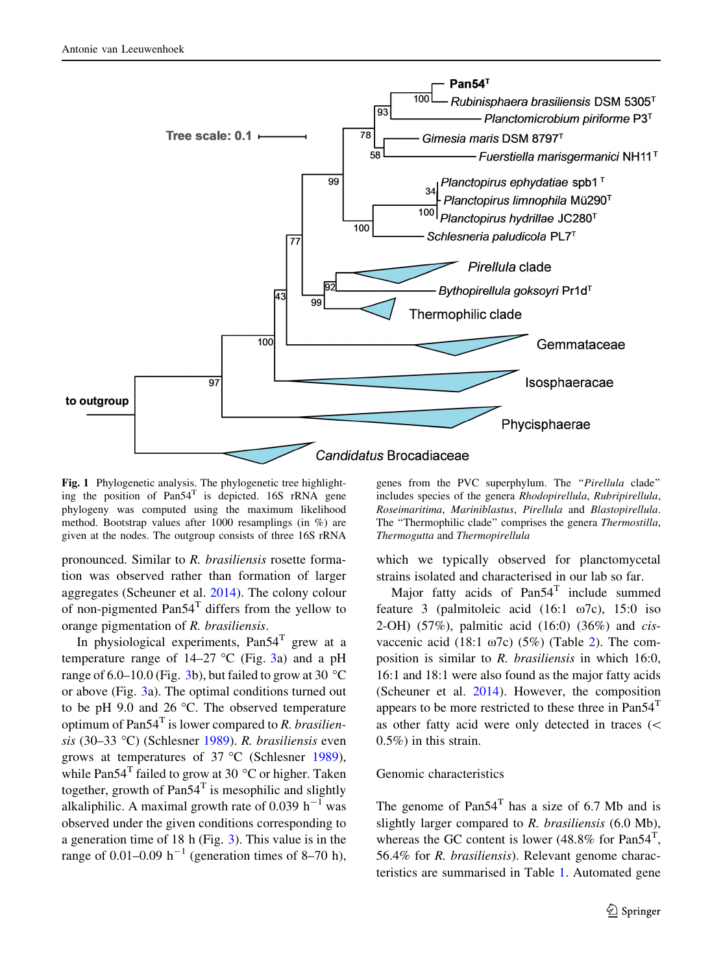<span id="page-4-0"></span>

Fig. 1 Phylogenetic analysis. The phylogenetic tree highlighting the position of  $Pan54<sup>T</sup>$  is depicted. 16S rRNA gene phylogeny was computed using the maximum likelihood method. Bootstrap values after 1000 resamplings (in %) are given at the nodes. The outgroup consists of three 16S rRNA

pronounced. Similar to R. brasiliensis rosette formation was observed rather than formation of larger aggregates (Scheuner et al. [2014](#page-9-0)). The colony colour of non-pigmented  $Pan54<sup>T</sup>$  differs from the yellow to orange pigmentation of R. brasiliensis.

In physiological experiments,  $Pan54<sup>T</sup>$  grew at a temperature range of  $14-27$  °C (Fig. [3a](#page-6-0)) and a pH range of 6.0–10.0 (Fig. [3](#page-6-0)b), but failed to grow at 30  $^{\circ}$ C or above (Fig. [3a](#page-6-0)). The optimal conditions turned out to be pH 9.0 and 26  $^{\circ}$ C. The observed temperature optimum of Pan $54^T$  is lower compared to R. brasilien-sis (30–33 °C) (Schlesner [1989\)](#page-9-0). R. brasiliensis even grows at temperatures of  $37 °C$  (Schlesner [1989](#page-9-0)), while Pan54<sup>T</sup> failed to grow at 30  $^{\circ}$ C or higher. Taken together, growth of  $Pan54<sup>T</sup>$  is mesophilic and slightly alkaliphilic. A maximal growth rate of 0.039  $h^{-1}$  was observed under the given conditions corresponding to a generation time of 18 h (Fig. [3\)](#page-6-0). This value is in the range of 0.01–0.09  $h^{-1}$  (generation times of 8–70 h),

genes from the PVC superphylum. The ''Pirellula clade'' includes species of the genera Rhodopirellula, Rubripirellula, Roseimaritima, Mariniblastus, Pirellula and Blastopirellula. The "Thermophilic clade" comprises the genera Thermostilla, Thermogutta and Thermopirellula

which we typically observed for planctomycetal strains isolated and characterised in our lab so far.

Major fatty acids of  $Pan54<sup>T</sup>$  include summed feature 3 (palmitoleic acid  $(16:1 \t 07c)$ , 15:0 iso 2-OH) (57%), palmitic acid (16:0) (36%) and cisvaccenic acid (18:1  $\omega$ 7c) (5%) (Table [2\)](#page-7-0). The composition is similar to R. brasiliensis in which 16:0, 16:1 and 18:1 were also found as the major fatty acids (Scheuner et al. [2014](#page-9-0)). However, the composition appears to be more restricted to these three in  $Pan54<sup>T</sup>$ as other fatty acid were only detected in traces  $\left(\right.$ 0.5%) in this strain.

## Genomic characteristics

The genome of  $Pan54<sup>T</sup>$  has a size of 6.7 Mb and is slightly larger compared to R. brasiliensis (6.0 Mb), whereas the GC content is lower (48.8% for Pan54<sup>T</sup>, 56.4% for R. brasiliensis). Relevant genome characteristics are summarised in Table [1](#page-6-0). Automated gene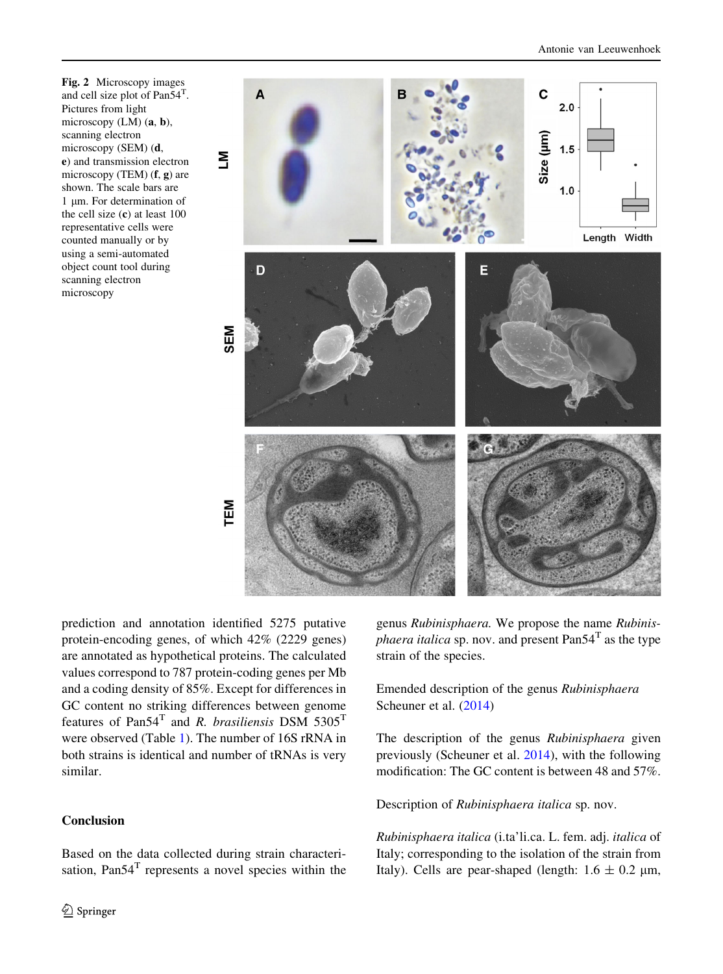<span id="page-5-0"></span>Fig. 2 Microscopy images and cell size plot of Pan54<sup>T</sup> . Pictures from light microscopy (LM) (a, b), scanning electron microscopy (SEM) (d, e) and transmission electron microscopy (TEM)  $(f, g)$  are shown. The scale bars are 1 um. For determination of the cell size  $(c)$  at least 100 representative cells were counted manually or by using a semi-automated object count tool during scanning electron microscopy



prediction and annotation identified 5275 putative protein-encoding genes, of which 42% (2229 genes) are annotated as hypothetical proteins. The calculated values correspond to 787 protein-coding genes per Mb and a coding density of 85%. Except for differences in GC content no striking differences between genome features of Pan54<sup>T</sup> and R. brasiliensis DSM 5305<sup>T</sup> were observed (Table [1](#page-6-0)). The number of 16S rRNA in both strains is identical and number of tRNAs is very similar.

## **Conclusion**

Based on the data collected during strain characterisation,  $Pan54<sup>T</sup>$  represents a novel species within the genus Rubinisphaera. We propose the name Rubinis*phaera italica* sp. nov. and present Pan54<sup>T</sup> as the type strain of the species.

Emended description of the genus Rubinisphaera Scheuner et al. ([2014\)](#page-9-0)

The description of the genus Rubinisphaera given previously (Scheuner et al. [2014\)](#page-9-0), with the following modification: The GC content is between 48 and 57%.

Description of Rubinisphaera italica sp. nov.

Rubinisphaera italica (i.ta'li.ca. L. fem. adj. italica of Italy; corresponding to the isolation of the strain from Italy). Cells are pear-shaped (length:  $1.6 \pm 0.2$  µm,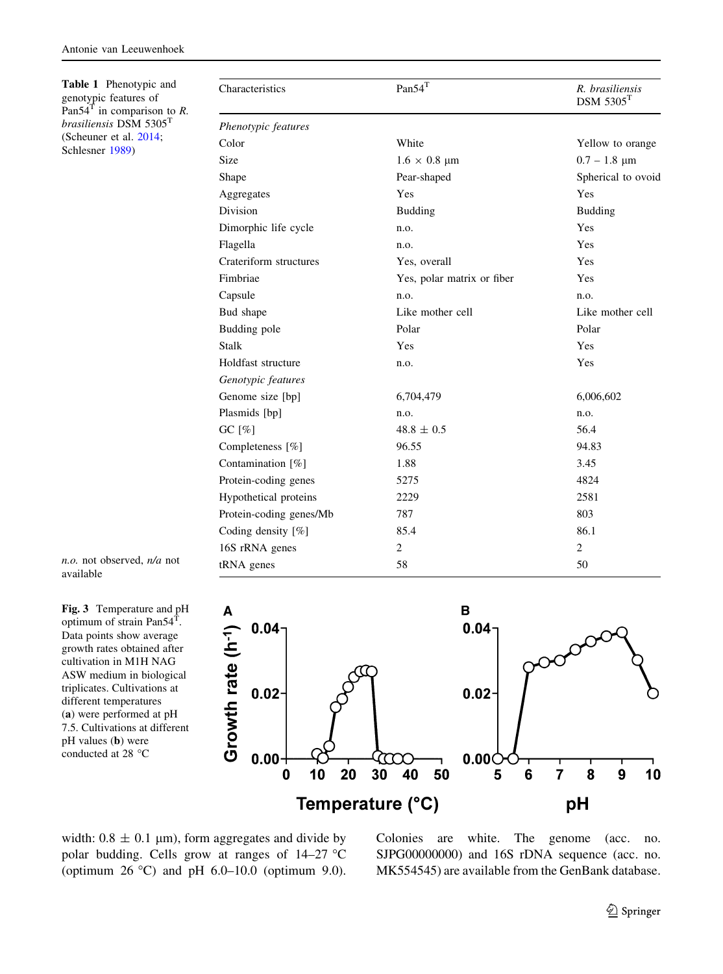<span id="page-6-0"></span>Table 1 Phenotypic and genotypic features of Pan54<sup>T</sup> in comparison to  $R$ . brasiliensis DSM 5305<sup>T</sup> (Scheuner et al. [2014](#page-9-0); Schlesner [1989\)](#page-9-0)

| Characteristics         | $Pan54^T$                  | R. brasiliensis<br>$DSM$ 5305 <sup>T</sup> |
|-------------------------|----------------------------|--------------------------------------------|
| Phenotypic features     |                            |                                            |
| Color                   | White                      | Yellow to orange                           |
| Size                    | $1.6 \times 0.8$ µm        | $0.7 - 1.8 \mu m$                          |
| Shape                   | Pear-shaped                | Spherical to ovoid                         |
| Aggregates              | Yes                        | Yes                                        |
| <b>Division</b>         | <b>Budding</b>             | <b>Budding</b>                             |
| Dimorphic life cycle    | n.o.                       | Yes                                        |
| Flagella                | n.o.                       | Yes                                        |
| Crateriform structures  | Yes, overall               | Yes                                        |
| Fimbriae                | Yes, polar matrix or fiber | Yes                                        |
| Capsule                 | n.o.                       | n.o.                                       |
| Bud shape               | Like mother cell           | Like mother cell                           |
| Budding pole            | Polar                      | Polar                                      |
| <b>Stalk</b>            | Yes                        | Yes                                        |
| Holdfast structure      | n.o.                       | Yes                                        |
| Genotypic features      |                            |                                            |
| Genome size [bp]        | 6,704,479                  | 6,006,602                                  |
| Plasmids [bp]           | n.o.                       | n.o.                                       |
| GC $[\%]$               | $48.8 \pm 0.5$             | 56.4                                       |
| Completeness [%]        | 96.55                      | 94.83                                      |
| Contamination [%]       | 1.88                       | 3.45                                       |
| Protein-coding genes    | 5275                       | 4824                                       |
| Hypothetical proteins   | 2229                       | 2581                                       |
| Protein-coding genes/Mb | 787                        | 803                                        |
| Coding density [%]      | 85.4                       | 86.1                                       |
| 16S rRNA genes          | 2                          | 2                                          |
| tRNA genes              | 58                         | 50                                         |

n.o. not observed, n/a not available

Fig. 3 Temperature and pH optimum of strain Pan54<sup>T</sup>. Data points show average growth rates obtained after cultivation in M1H NAG ASW medium in biological triplicates. Cultivations at different temperatures (a) were performed at pH 7.5. Cultivations at different pH values (b) were conducted at 28 °C



width:  $0.8 \pm 0.1 \text{ }\mu\text{m}$ , form aggregates and divide by polar budding. Cells grow at ranges of  $14-27$  °C (optimum  $26 \text{ °C}$ ) and pH  $6.0-10.0$  (optimum 9.0). Colonies are white. The genome (acc. no. SJPG00000000) and 16S rDNA sequence (acc. no. MK554545) are available from the GenBank database.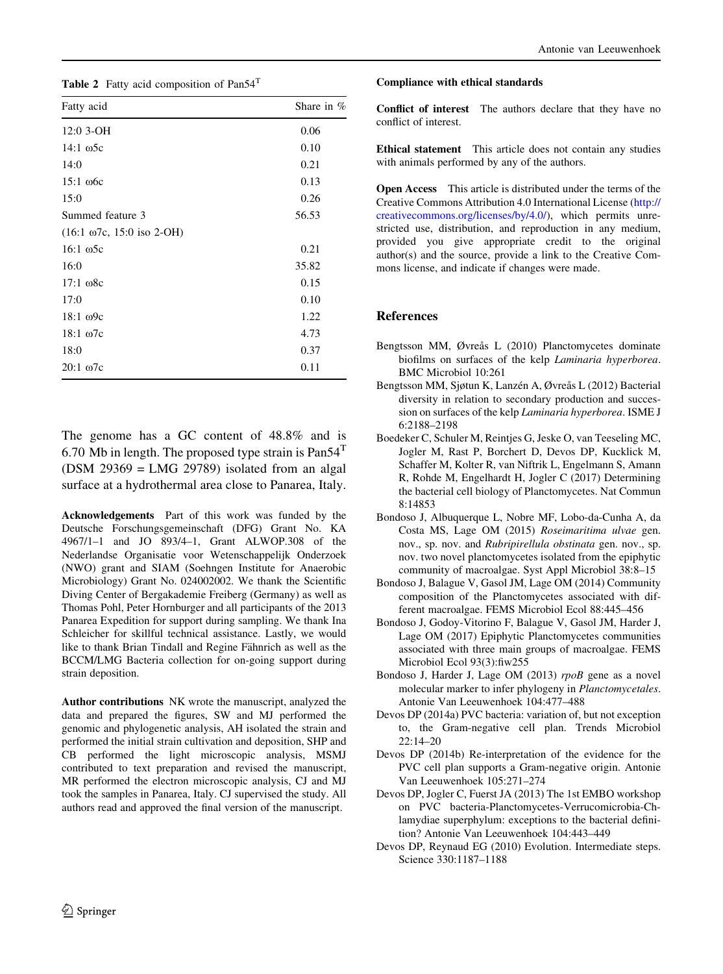<span id="page-7-0"></span>

| Fatty acid                           | Share in $%$ |  |
|--------------------------------------|--------------|--|
| $12:0$ 3-OH                          | 0.06         |  |
| $14:1 \omega$ 5c                     | 0.10         |  |
| 14:0                                 | 0.21         |  |
| $15:1 \text{ } 66c$                  | 0.13         |  |
| 15:0                                 | 0.26         |  |
| Summed feature 3                     | 56.53        |  |
| $(16:1 \omega 7c, 15:0 \omega 2-OH)$ |              |  |
| $16:1\omega$ 5c                      | 0.21         |  |
| 16:0                                 | 35.82        |  |
| $17:1 \, \omega$ 8c                  | 0.15         |  |
| 17:0                                 | 0.10         |  |
| $18:1 \omega$ 9c                     | 1.22         |  |
| $18:1 \omega$ 7c                     | 4.73         |  |
| 18:0                                 | 0.37         |  |
| $20:1\omega$                         | 0.11         |  |

The genome has a GC content of 48.8% and is 6.70 Mb in length. The proposed type strain is  $Pan54<sup>T</sup>$  $(DSM 29369 = LMG 29789)$  isolated from an algal surface at a hydrothermal area close to Panarea, Italy.

Acknowledgements Part of this work was funded by the Deutsche Forschungsgemeinschaft (DFG) Grant No. KA 4967/1–1 and JO 893/4–1, Grant ALWOP.308 of the Nederlandse Organisatie voor Wetenschappelijk Onderzoek (NWO) grant and SIAM (Soehngen Institute for Anaerobic Microbiology) Grant No. 024002002. We thank the Scientific Diving Center of Bergakademie Freiberg (Germany) as well as Thomas Pohl, Peter Hornburger and all participants of the 2013 Panarea Expedition for support during sampling. We thank Ina Schleicher for skillful technical assistance. Lastly, we would like to thank Brian Tindall and Regine Fähnrich as well as the BCCM/LMG Bacteria collection for on-going support during strain deposition.

Author contributions NK wrote the manuscript, analyzed the data and prepared the figures, SW and MJ performed the genomic and phylogenetic analysis, AH isolated the strain and performed the initial strain cultivation and deposition, SHP and CB performed the light microscopic analysis, MSMJ contributed to text preparation and revised the manuscript, MR performed the electron microscopic analysis, CJ and MJ took the samples in Panarea, Italy. CJ supervised the study. All authors read and approved the final version of the manuscript.

#### Compliance with ethical standards

Conflict of interest The authors declare that they have no conflict of interest.

Ethical statement This article does not contain any studies with animals performed by any of the authors.

Open Access This article is distributed under the terms of the Creative Commons Attribution 4.0 International License ([http://](http://creativecommons.org/licenses/by/4.0/) [creativecommons.org/licenses/by/4.0/\)](http://creativecommons.org/licenses/by/4.0/), which permits unrestricted use, distribution, and reproduction in any medium, provided you give appropriate credit to the original author(s) and the source, provide a link to the Creative Commons license, and indicate if changes were made.

#### References

- Bengtsson MM, Øvreås L (2010) Planctomycetes dominate biofilms on surfaces of the kelp Laminaria hyperborea. BMC Microbiol 10:261
- Bengtsson MM, Sjøtun K, Lanzén A, Øvreås L (2012) Bacterial diversity in relation to secondary production and succession on surfaces of the kelp Laminaria hyperborea. ISME J 6:2188–2198
- Boedeker C, Schuler M, Reintjes G, Jeske O, van Teeseling MC, Jogler M, Rast P, Borchert D, Devos DP, Kucklick M, Schaffer M, Kolter R, van Niftrik L, Engelmann S, Amann R, Rohde M, Engelhardt H, Jogler C (2017) Determining the bacterial cell biology of Planctomycetes. Nat Commun 8:14853
- Bondoso J, Albuquerque L, Nobre MF, Lobo-da-Cunha A, da Costa MS, Lage OM (2015) Roseimaritima ulvae gen. nov., sp. nov. and Rubripirellula obstinata gen. nov., sp. nov. two novel planctomycetes isolated from the epiphytic community of macroalgae. Syst Appl Microbiol 38:8–15
- Bondoso J, Balague V, Gasol JM, Lage OM (2014) Community composition of the Planctomycetes associated with different macroalgae. FEMS Microbiol Ecol 88:445–456
- Bondoso J, Godoy-Vitorino F, Balague V, Gasol JM, Harder J, Lage OM (2017) Epiphytic Planctomycetes communities associated with three main groups of macroalgae. FEMS Microbiol Ecol 93(3):fiw255
- Bondoso J, Harder J, Lage OM (2013) rpoB gene as a novel molecular marker to infer phylogeny in Planctomycetales. Antonie Van Leeuwenhoek 104:477–488
- Devos DP (2014a) PVC bacteria: variation of, but not exception to, the Gram-negative cell plan. Trends Microbiol 22:14–20
- Devos DP (2014b) Re-interpretation of the evidence for the PVC cell plan supports a Gram-negative origin. Antonie Van Leeuwenhoek 105:271–274
- Devos DP, Jogler C, Fuerst JA (2013) The 1st EMBO workshop on PVC bacteria-Planctomycetes-Verrucomicrobia-Chlamydiae superphylum: exceptions to the bacterial definition? Antonie Van Leeuwenhoek 104:443–449
- Devos DP, Reynaud EG (2010) Evolution. Intermediate steps. Science 330:1187–1188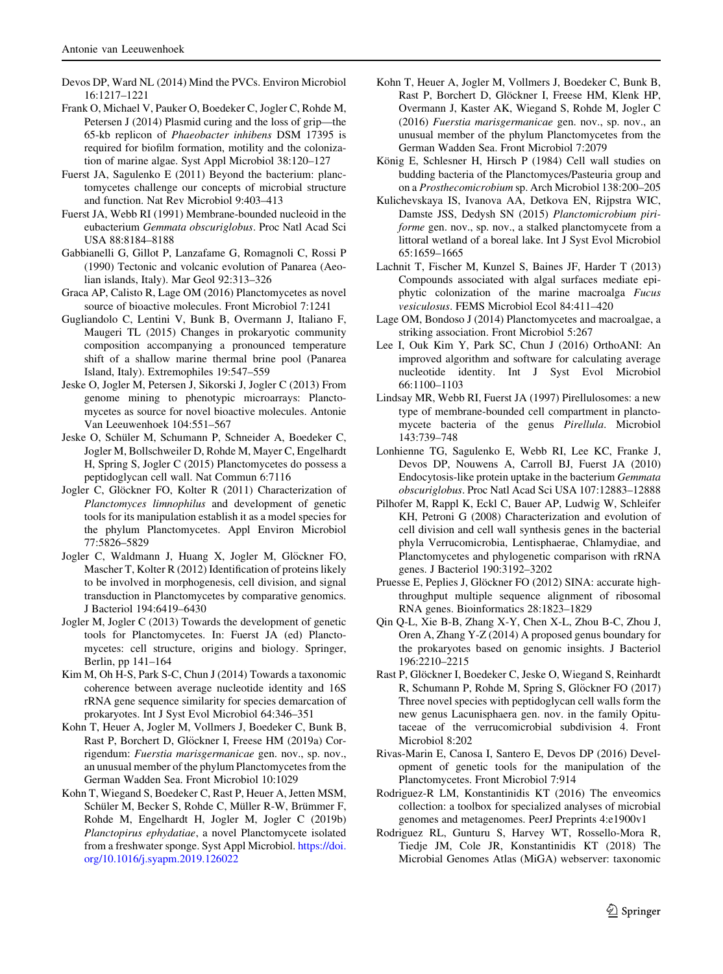- <span id="page-8-0"></span>Devos DP, Ward NL (2014) Mind the PVCs. Environ Microbiol 16:1217–1221
- Frank O, Michael V, Pauker O, Boedeker C, Jogler C, Rohde M, Petersen J (2014) Plasmid curing and the loss of grip—the 65-kb replicon of Phaeobacter inhibens DSM 17395 is required for biofilm formation, motility and the colonization of marine algae. Syst Appl Microbiol 38:120–127
- Fuerst JA, Sagulenko E (2011) Beyond the bacterium: planctomycetes challenge our concepts of microbial structure and function. Nat Rev Microbiol 9:403–413
- Fuerst JA, Webb RI (1991) Membrane-bounded nucleoid in the eubacterium Gemmata obscuriglobus. Proc Natl Acad Sci USA 88:8184–8188
- Gabbianelli G, Gillot P, Lanzafame G, Romagnoli C, Rossi P (1990) Tectonic and volcanic evolution of Panarea (Aeolian islands, Italy). Mar Geol 92:313–326
- Graca AP, Calisto R, Lage OM (2016) Planctomycetes as novel source of bioactive molecules. Front Microbiol 7:1241
- Gugliandolo C, Lentini V, Bunk B, Overmann J, Italiano F, Maugeri TL (2015) Changes in prokaryotic community composition accompanying a pronounced temperature shift of a shallow marine thermal brine pool (Panarea Island, Italy). Extremophiles 19:547–559
- Jeske O, Jogler M, Petersen J, Sikorski J, Jogler C (2013) From genome mining to phenotypic microarrays: Planctomycetes as source for novel bioactive molecules. Antonie Van Leeuwenhoek 104:551–567
- Jeske O, Schüler M, Schumann P, Schneider A, Boedeker C, Jogler M, Bollschweiler D, Rohde M, Mayer C, Engelhardt H, Spring S, Jogler C (2015) Planctomycetes do possess a peptidoglycan cell wall. Nat Commun 6:7116
- Jogler C, Glöckner FO, Kolter R (2011) Characterization of Planctomyces limnophilus and development of genetic tools for its manipulation establish it as a model species for the phylum Planctomycetes. Appl Environ Microbiol 77:5826–5829
- Jogler C, Waldmann J, Huang X, Jogler M, Glöckner FO, Mascher T, Kolter R (2012) Identification of proteins likely to be involved in morphogenesis, cell division, and signal transduction in Planctomycetes by comparative genomics. J Bacteriol 194:6419–6430
- Jogler M, Jogler C (2013) Towards the development of genetic tools for Planctomycetes. In: Fuerst JA (ed) Planctomycetes: cell structure, origins and biology. Springer, Berlin, pp 141–164
- Kim M, Oh H-S, Park S-C, Chun J (2014) Towards a taxonomic coherence between average nucleotide identity and 16S rRNA gene sequence similarity for species demarcation of prokaryotes. Int J Syst Evol Microbiol 64:346–351
- Kohn T, Heuer A, Jogler M, Vollmers J, Boedeker C, Bunk B, Rast P, Borchert D, Glöckner I, Freese HM (2019a) Corrigendum: Fuerstia marisgermanicae gen. nov., sp. nov., an unusual member of the phylum Planctomycetes from the German Wadden Sea. Front Microbiol 10:1029
- Kohn T, Wiegand S, Boedeker C, Rast P, Heuer A, Jetten MSM, Schüler M, Becker S, Rohde C, Müller R-W, Brümmer F, Rohde M, Engelhardt H, Jogler M, Jogler C (2019b) Planctopirus ephydatiae, a novel Planctomycete isolated from a freshwater sponge. Syst Appl Microbiol. [https://doi.](https://doi.org/10.1016/j.syapm.2019.126022) [org/10.1016/j.syapm.2019.126022](https://doi.org/10.1016/j.syapm.2019.126022)
- Kohn T, Heuer A, Jogler M, Vollmers J, Boedeker C, Bunk B, Rast P, Borchert D, Glöckner I, Freese HM, Klenk HP, Overmann J, Kaster AK, Wiegand S, Rohde M, Jogler C (2016) Fuerstia marisgermanicae gen. nov., sp. nov., an unusual member of the phylum Planctomycetes from the German Wadden Sea. Front Microbiol 7:2079
- König E, Schlesner H, Hirsch P (1984) Cell wall studies on budding bacteria of the Planctomyces/Pasteuria group and on a Prosthecomicrobium sp. Arch Microbiol 138:200–205
- Kulichevskaya IS, Ivanova AA, Detkova EN, Rijpstra WIC, Damste JSS, Dedysh SN (2015) Planctomicrobium piriforme gen. nov., sp. nov., a stalked planctomycete from a littoral wetland of a boreal lake. Int J Syst Evol Microbiol 65:1659–1665
- Lachnit T, Fischer M, Kunzel S, Baines JF, Harder T (2013) Compounds associated with algal surfaces mediate epiphytic colonization of the marine macroalga Fucus vesiculosus. FEMS Microbiol Ecol 84:411–420
- Lage OM, Bondoso J (2014) Planctomycetes and macroalgae, a striking association. Front Microbiol 5:267
- Lee I, Ouk Kim Y, Park SC, Chun J (2016) OrthoANI: An improved algorithm and software for calculating average nucleotide identity. Int J Syst Evol Microbiol 66:1100–1103
- Lindsay MR, Webb RI, Fuerst JA (1997) Pirellulosomes: a new type of membrane-bounded cell compartment in planctomycete bacteria of the genus Pirellula. Microbiol 143:739–748
- Lonhienne TG, Sagulenko E, Webb RI, Lee KC, Franke J, Devos DP, Nouwens A, Carroll BJ, Fuerst JA (2010) Endocytosis-like protein uptake in the bacterium Gemmata obscuriglobus. Proc Natl Acad Sci USA 107:12883–12888
- Pilhofer M, Rappl K, Eckl C, Bauer AP, Ludwig W, Schleifer KH, Petroni G (2008) Characterization and evolution of cell division and cell wall synthesis genes in the bacterial phyla Verrucomicrobia, Lentisphaerae, Chlamydiae, and Planctomycetes and phylogenetic comparison with rRNA genes. J Bacteriol 190:3192–3202
- Pruesse E, Peplies J, Glöckner FO (2012) SINA: accurate highthroughput multiple sequence alignment of ribosomal RNA genes. Bioinformatics 28:1823–1829
- Qin Q-L, Xie B-B, Zhang X-Y, Chen X-L, Zhou B-C, Zhou J, Oren A, Zhang Y-Z (2014) A proposed genus boundary for the prokaryotes based on genomic insights. J Bacteriol 196:2210–2215
- Rast P, Glöckner I, Boedeker C, Jeske O, Wiegand S, Reinhardt R, Schumann P, Rohde M, Spring S, Glöckner FO (2017) Three novel species with peptidoglycan cell walls form the new genus Lacunisphaera gen. nov. in the family Opitutaceae of the verrucomicrobial subdivision 4. Front Microbiol 8:202
- Rivas-Marin E, Canosa I, Santero E, Devos DP (2016) Development of genetic tools for the manipulation of the Planctomycetes. Front Microbiol 7:914
- Rodriguez-R LM, Konstantinidis KT (2016) The enveomics collection: a toolbox for specialized analyses of microbial genomes and metagenomes. PeerJ Preprints 4:e1900v1
- Rodriguez RL, Gunturu S, Harvey WT, Rossello-Mora R, Tiedje JM, Cole JR, Konstantinidis KT (2018) The Microbial Genomes Atlas (MiGA) webserver: taxonomic